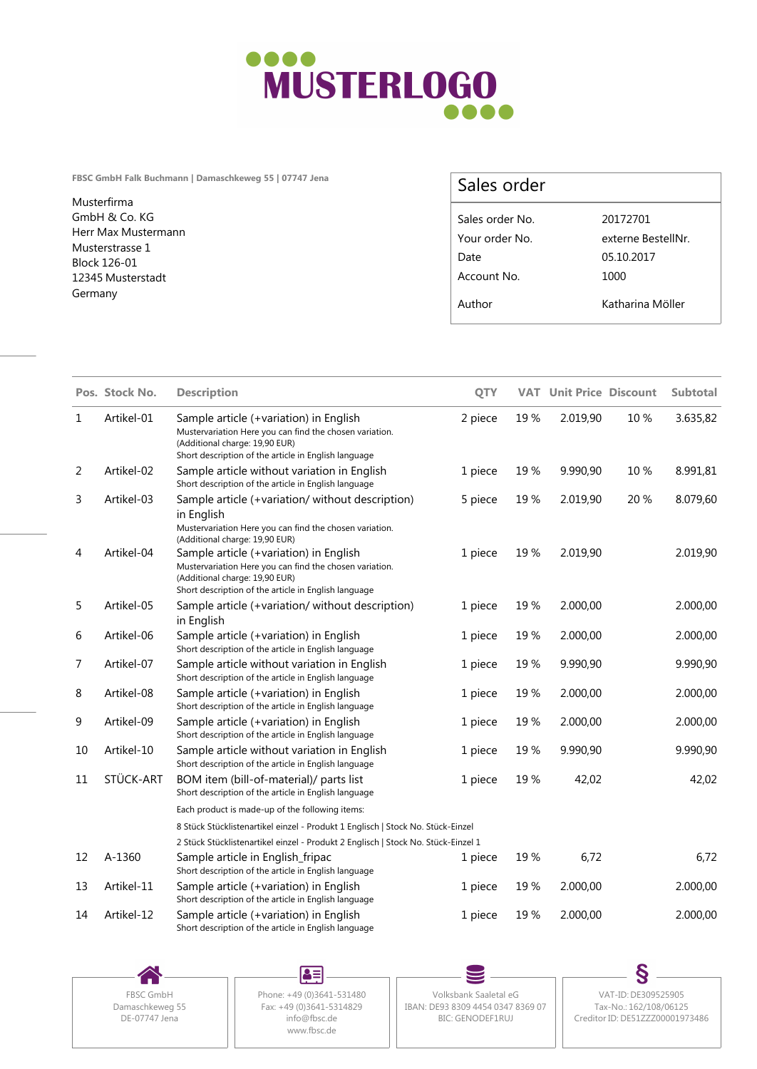

**FBSC GmbH Falk Buchmann | Damaschkeweg 55 | 07747 Jena**

Musterfirma GmbH & Co. KG Herr Max Mustermann Musterstrasse 1 Block 126-01 12345 Musterstadt Germany

## Sales order

| Sales order No. | 20172701           |
|-----------------|--------------------|
| Your order No.  | externe BestellNr. |
| Date            | 05.10.2017         |
| Account No.     | 1000               |
| Author          | Katharina Möller   |
|                 |                    |

|    | Pos. Stock No. | <b>Description</b>                                                                                                                                                                          | QTY     | <b>VAT</b> | <b>Unit Price Discount</b> |      | <b>Subtotal</b> |
|----|----------------|---------------------------------------------------------------------------------------------------------------------------------------------------------------------------------------------|---------|------------|----------------------------|------|-----------------|
| 1  | Artikel-01     | Sample article (+variation) in English<br>Mustervariation Here you can find the chosen variation.<br>(Additional charge: 19,90 EUR)<br>Short description of the article in English language | 2 piece | 19%        | 2.019,90                   | 10%  | 3.635,82        |
| 2  | Artikel-02     | Sample article without variation in English<br>Short description of the article in English language                                                                                         | 1 piece | 19%        | 9.990,90                   | 10%  | 8.991,81        |
| 3  | Artikel-03     | Sample article (+variation/without description)<br>in English<br>Mustervariation Here you can find the chosen variation.<br>(Additional charge: 19,90 EUR)                                  | 5 piece | 19%        | 2.019,90                   | 20 % | 8.079,60        |
| 4  | Artikel-04     | Sample article (+variation) in English<br>Mustervariation Here you can find the chosen variation.<br>(Additional charge: 19,90 EUR)<br>Short description of the article in English language | 1 piece | 19%        | 2.019,90                   |      | 2.019,90        |
| 5  | Artikel-05     | Sample article (+variation/without description)<br>in English                                                                                                                               | 1 piece | 19%        | 2.000,00                   |      | 2.000,00        |
| 6  | Artikel-06     | Sample article (+variation) in English<br>Short description of the article in English language                                                                                              | 1 piece | 19%        | 2.000,00                   |      | 2.000,00        |
| 7  | Artikel-07     | Sample article without variation in English<br>Short description of the article in English language                                                                                         | 1 piece | 19%        | 9.990,90                   |      | 9.990,90        |
| 8  | Artikel-08     | Sample article (+variation) in English<br>Short description of the article in English language                                                                                              | 1 piece | 19%        | 2.000,00                   |      | 2.000,00        |
| 9  | Artikel-09     | Sample article (+variation) in English<br>Short description of the article in English language                                                                                              | 1 piece | 19%        | 2.000,00                   |      | 2.000,00        |
| 10 | Artikel-10     | Sample article without variation in English<br>Short description of the article in English language                                                                                         | 1 piece | 19%        | 9.990,90                   |      | 9.990,90        |
| 11 | STÜCK-ART      | BOM item (bill-of-material)/ parts list<br>Short description of the article in English language                                                                                             | 1 piece | 19%        | 42,02                      |      | 42,02           |
|    |                | Each product is made-up of the following items:                                                                                                                                             |         |            |                            |      |                 |
|    |                | 8 Stück Stücklistenartikel einzel - Produkt 1 Englisch   Stock No. Stück-Einzel                                                                                                             |         |            |                            |      |                 |
|    |                | 2 Stück Stücklistenartikel einzel - Produkt 2 Englisch   Stock No. Stück-Einzel 1                                                                                                           |         |            |                            |      |                 |
| 12 | A-1360         | Sample article in English_fripac<br>Short description of the article in English language                                                                                                    | 1 piece | 19 %       | 6,72                       |      | 6,72            |
| 13 | Artikel-11     | Sample article (+variation) in English<br>Short description of the article in English language                                                                                              | 1 piece | 19%        | 2.000,00                   |      | 2.000,00        |
| 14 | Artikel-12     | Sample article (+variation) in English<br>Short description of the article in English language                                                                                              | 1 piece | 19%        | 2.000,00                   |      | 2.000,00        |

DE-07747 Jena

83 Damaschkeweg 55<br>DE-07747 Jena<br>
The Communication of the CDS43-5314829<br>
The CDS43-5314829<br>
The CDS4-5314829 www.fbsc.de

FBSC GmbH | Phone: +49 (0)3641-531480 | Volksbank Saaletal eG Fax: +49 (0)3641-5314829 || IBAN: DE93 8309 4454 0347 8369 07 || Tax-No.: 162/108/06125 info@fbsc.de BIC: GENODEF1RUJ

S Volksbank Saaletal eG VAT-ID: DE309525905 Tax-No.: 162/108/06125 Creditor ID: DE51ZZZ00001973486